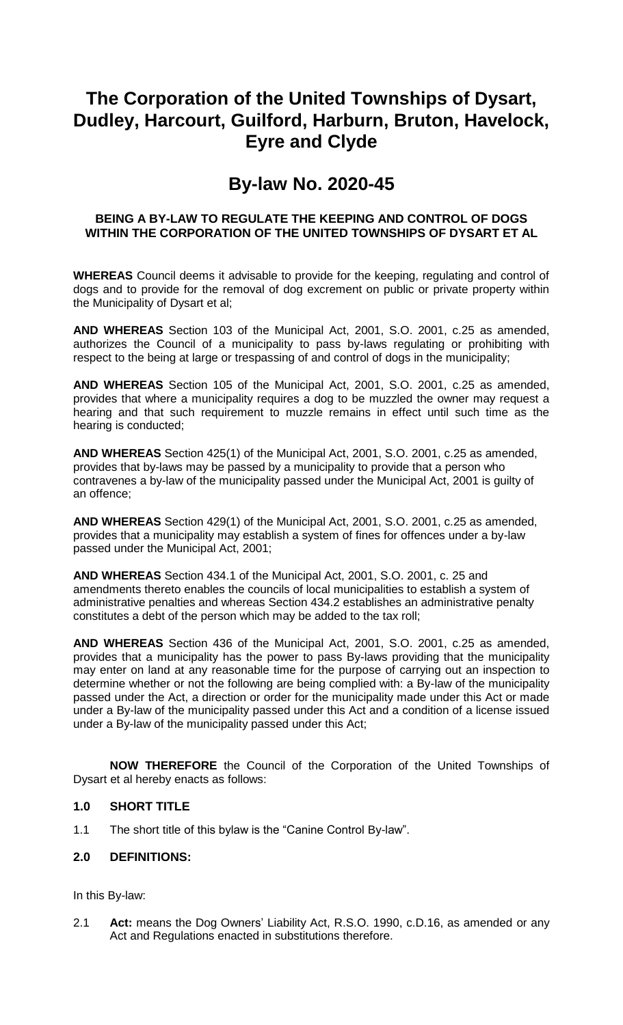# **The Corporation of the United Townships of Dysart, Dudley, Harcourt, Guilford, Harburn, Bruton, Havelock, Eyre and Clyde**

### **By-law No. 2020-45**

#### **BEING A BY-LAW TO REGULATE THE KEEPING AND CONTROL OF DOGS WITHIN THE CORPORATION OF THE UNITED TOWNSHIPS OF DYSART ET AL**

**WHEREAS** Council deems it advisable to provide for the keeping, regulating and control of dogs and to provide for the removal of dog excrement on public or private property within the Municipality of Dysart et al;

**AND WHEREAS** Section 103 of the Municipal Act, 2001, S.O. 2001, c.25 as amended, authorizes the Council of a municipality to pass by-laws regulating or prohibiting with respect to the being at large or trespassing of and control of dogs in the municipality;

**AND WHEREAS** Section 105 of the Municipal Act, 2001, S.O. 2001, c.25 as amended, provides that where a municipality requires a dog to be muzzled the owner may request a hearing and that such requirement to muzzle remains in effect until such time as the hearing is conducted;

**AND WHEREAS** Section 425(1) of the Municipal Act, 2001, S.O. 2001, c.25 as amended, provides that by-laws may be passed by a municipality to provide that a person who contravenes a by-law of the municipality passed under the Municipal Act, 2001 is guilty of an offence;

**AND WHEREAS** Section 429(1) of the Municipal Act, 2001, S.O. 2001, c.25 as amended, provides that a municipality may establish a system of fines for offences under a by-law passed under the Municipal Act, 2001;

**AND WHEREAS** Section 434.1 of the Municipal Act, 2001, S.O. 2001, c. 25 and amendments thereto enables the councils of local municipalities to establish a system of administrative penalties and whereas Section 434.2 establishes an administrative penalty constitutes a debt of the person which may be added to the tax roll;

**AND WHEREAS** Section 436 of the Municipal Act, 2001, S.O. 2001, c.25 as amended, provides that a municipality has the power to pass By-laws providing that the municipality may enter on land at any reasonable time for the purpose of carrying out an inspection to determine whether or not the following are being complied with: a By-law of the municipality passed under the Act, a direction or order for the municipality made under this Act or made under a By-law of the municipality passed under this Act and a condition of a license issued under a By-law of the municipality passed under this Act;

**NOW THEREFORE** the Council of the Corporation of the United Townships of Dysart et al hereby enacts as follows:

#### **1.0 SHORT TITLE**

1.1 The short title of this bylaw is the "Canine Control By-law".

#### **2.0 DEFINITIONS:**

In this By-law:

2.1 **Act:** means the Dog Owners' Liability Act, R.S.O. 1990, c.D.16, as amended or any Act and Regulations enacted in substitutions therefore.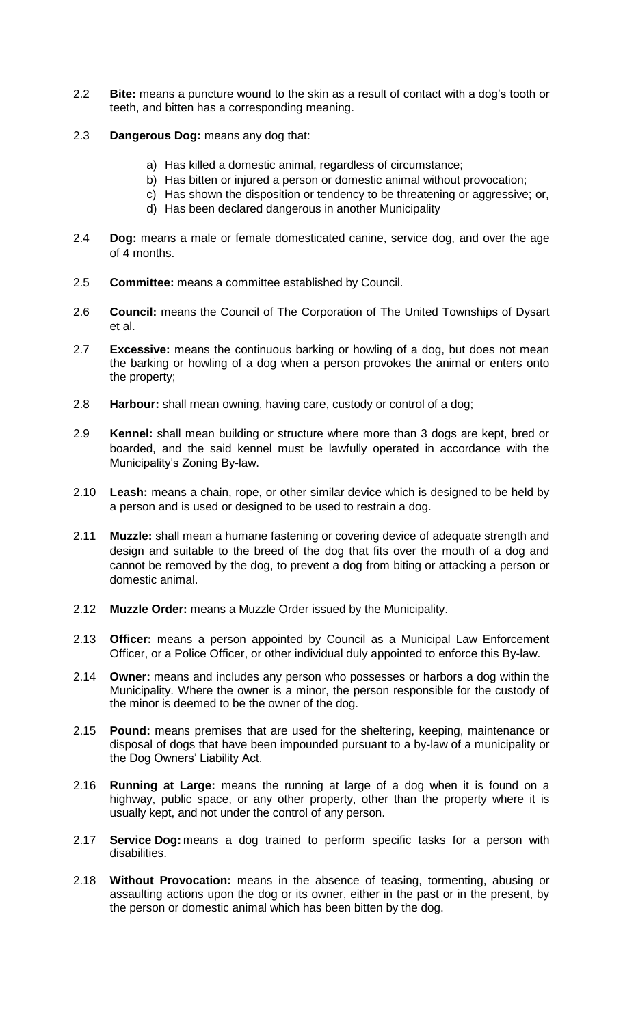- 2.2 **Bite:** means a puncture wound to the skin as a result of contact with a dog's tooth or teeth, and bitten has a corresponding meaning.
- 2.3 **Dangerous Dog:** means any dog that:
	- a) Has killed a domestic animal, regardless of circumstance;
	- b) Has bitten or injured a person or domestic animal without provocation;
	- c) Has shown the disposition or tendency to be threatening or aggressive; or,
	- d) Has been declared dangerous in another Municipality
- 2.4 **Dog:** means a male or female domesticated canine, service dog, and over the age of 4 months.
- 2.5 **Committee:** means a committee established by Council.
- 2.6 **Council:** means the Council of The Corporation of The United Townships of Dysart et al.
- 2.7 **Excessive:** means the continuous barking or howling of a dog, but does not mean the barking or howling of a dog when a person provokes the animal or enters onto the property;
- 2.8 **Harbour:** shall mean owning, having care, custody or control of a dog;
- 2.9 **Kennel:** shall mean building or structure where more than 3 dogs are kept, bred or boarded, and the said kennel must be lawfully operated in accordance with the Municipality's Zoning By-law.
- 2.10 **Leash:** means a chain, rope, or other similar device which is designed to be held by a person and is used or designed to be used to restrain a dog.
- 2.11 **Muzzle:** shall mean a humane fastening or covering device of adequate strength and design and suitable to the breed of the dog that fits over the mouth of a dog and cannot be removed by the dog, to prevent a dog from biting or attacking a person or domestic animal.
- 2.12 **Muzzle Order:** means a Muzzle Order issued by the Municipality.
- 2.13 **Officer:** means a person appointed by Council as a Municipal Law Enforcement Officer, or a Police Officer, or other individual duly appointed to enforce this By-law.
- 2.14 **Owner:** means and includes any person who possesses or harbors a dog within the Municipality. Where the owner is a minor, the person responsible for the custody of the minor is deemed to be the owner of the dog.
- 2.15 **Pound:** means premises that are used for the sheltering, keeping, maintenance or disposal of dogs that have been impounded pursuant to a by-law of a municipality or the Dog Owners' Liability Act.
- 2.16 **Running at Large:** means the running at large of a dog when it is found on a highway, public space, or any other property, other than the property where it is usually kept, and not under the control of any person.
- 2.17 **Service Dog:** means a dog trained to perform specific tasks for a person with disabilities.
- 2.18 **Without Provocation:** means in the absence of teasing, tormenting, abusing or assaulting actions upon the dog or its owner, either in the past or in the present, by the person or domestic animal which has been bitten by the dog.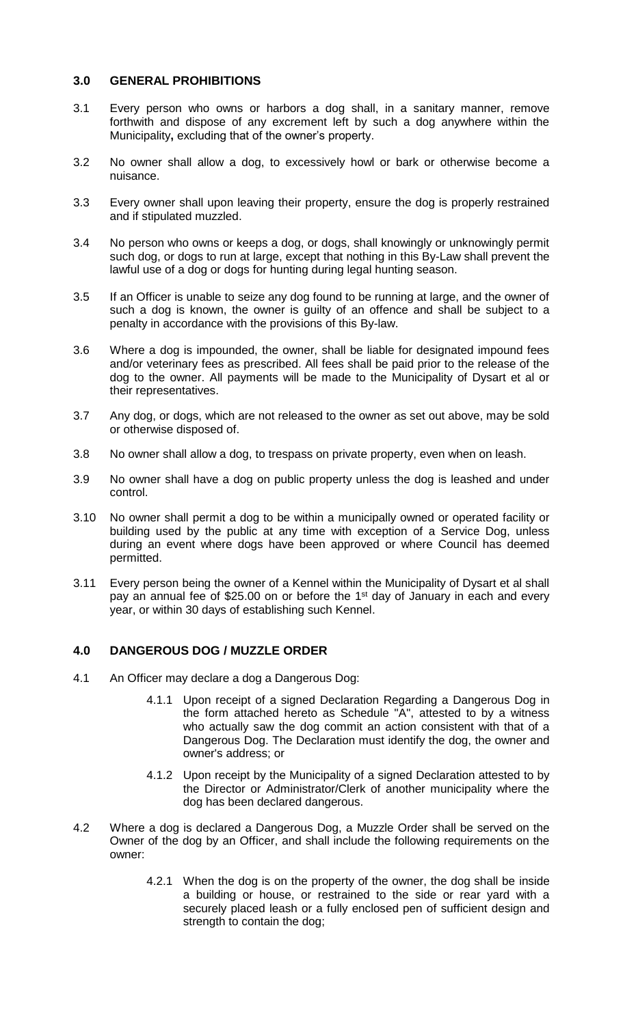#### **3.0 GENERAL PROHIBITIONS**

- 3.1 Every person who owns or harbors a dog shall, in a sanitary manner, remove forthwith and dispose of any excrement left by such a dog anywhere within the Municipality**,** excluding that of the owner's property.
- 3.2 No owner shall allow a dog, to excessively howl or bark or otherwise become a nuisance.
- 3.3 Every owner shall upon leaving their property, ensure the dog is properly restrained and if stipulated muzzled.
- 3.4 No person who owns or keeps a dog, or dogs, shall knowingly or unknowingly permit such dog, or dogs to run at large, except that nothing in this By-Law shall prevent the lawful use of a dog or dogs for hunting during legal hunting season.
- 3.5 If an Officer is unable to seize any dog found to be running at large, and the owner of such a dog is known, the owner is guilty of an offence and shall be subject to a penalty in accordance with the provisions of this By-law.
- 3.6 Where a dog is impounded, the owner, shall be liable for designated impound fees and/or veterinary fees as prescribed. All fees shall be paid prior to the release of the dog to the owner. All payments will be made to the Municipality of Dysart et al or their representatives.
- 3.7 Any dog, or dogs, which are not released to the owner as set out above, may be sold or otherwise disposed of.
- 3.8 No owner shall allow a dog, to trespass on private property, even when on leash.
- 3.9 No owner shall have a dog on public property unless the dog is leashed and under control.
- 3.10 No owner shall permit a dog to be within a municipally owned or operated facility or building used by the public at any time with exception of a Service Dog, unless during an event where dogs have been approved or where Council has deemed permitted.
- 3.11 Every person being the owner of a Kennel within the Municipality of Dysart et al shall pay an annual fee of \$25.00 on or before the 1<sup>st</sup> day of January in each and every year, or within 30 days of establishing such Kennel.

#### **4.0 DANGEROUS DOG / MUZZLE ORDER**

- 4.1 An Officer may declare a dog a Dangerous Dog:
	- 4.1.1 Upon receipt of a signed Declaration Regarding a Dangerous Dog in the form attached hereto as Schedule "A", attested to by a witness who actually saw the dog commit an action consistent with that of a Dangerous Dog. The Declaration must identify the dog, the owner and owner's address; or
	- 4.1.2 Upon receipt by the Municipality of a signed Declaration attested to by the Director or Administrator/Clerk of another municipality where the dog has been declared dangerous.
- 4.2 Where a dog is declared a Dangerous Dog, a Muzzle Order shall be served on the Owner of the dog by an Officer, and shall include the following requirements on the owner:
	- 4.2.1 When the dog is on the property of the owner, the dog shall be inside a building or house, or restrained to the side or rear yard with a securely placed leash or a fully enclosed pen of sufficient design and strength to contain the dog;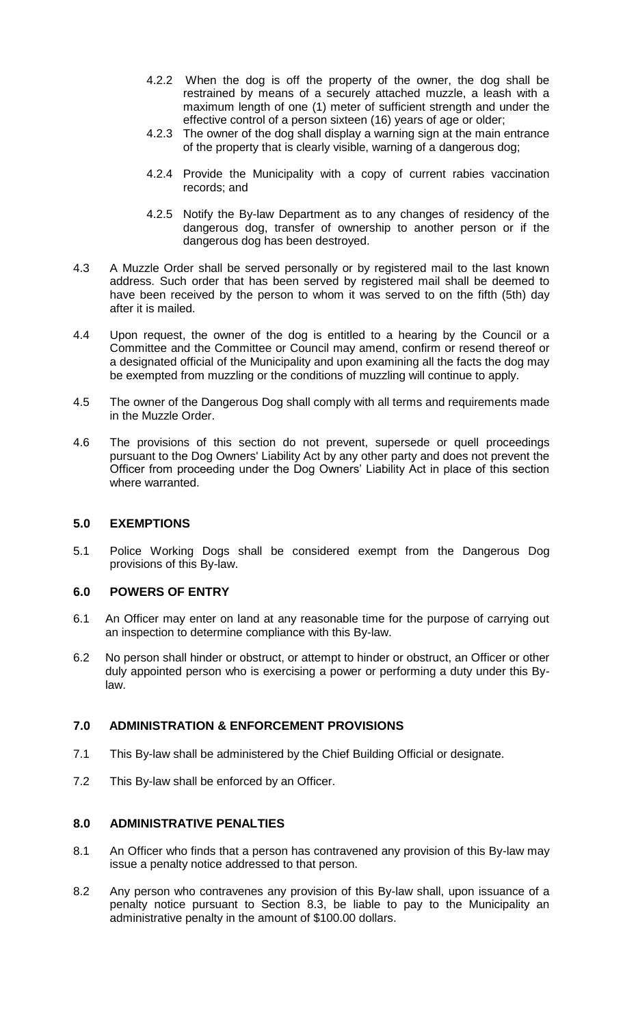- 4.2.2 When the dog is off the property of the owner, the dog shall be restrained by means of a securely attached muzzle, a leash with a maximum length of one (1) meter of sufficient strength and under the effective control of a person sixteen (16) years of age or older;
- 4.2.3 The owner of the dog shall display a warning sign at the main entrance of the property that is clearly visible, warning of a dangerous dog;
- 4.2.4 Provide the Municipality with a copy of current rabies vaccination records; and
- 4.2.5 Notify the By-law Department as to any changes of residency of the dangerous dog, transfer of ownership to another person or if the dangerous dog has been destroyed.
- 4.3 A Muzzle Order shall be served personally or by registered mail to the last known address. Such order that has been served by registered mail shall be deemed to have been received by the person to whom it was served to on the fifth (5th) day after it is mailed.
- 4.4 Upon request, the owner of the dog is entitled to a hearing by the Council or a Committee and the Committee or Council may amend, confirm or resend thereof or a designated official of the Municipality and upon examining all the facts the dog may be exempted from muzzling or the conditions of muzzling will continue to apply.
- 4.5 The owner of the Dangerous Dog shall comply with all terms and requirements made in the Muzzle Order.
- 4.6 The provisions of this section do not prevent, supersede or quell proceedings pursuant to the Dog Owners' Liability Act by any other party and does not prevent the Officer from proceeding under the Dog Owners' Liability Act in place of this section where warranted.

#### **5.0 EXEMPTIONS**

5.1 Police Working Dogs shall be considered exempt from the Dangerous Dog provisions of this By-law.

#### **6.0 POWERS OF ENTRY**

- 6.1 An Officer may enter on land at any reasonable time for the purpose of carrying out an inspection to determine compliance with this By-law.
- 6.2 No person shall hinder or obstruct, or attempt to hinder or obstruct, an Officer or other duly appointed person who is exercising a power or performing a duty under this Bylaw.

#### **7.0 ADMINISTRATION & ENFORCEMENT PROVISIONS**

- 7.1 This By-law shall be administered by the Chief Building Official or designate.
- 7.2 This By-law shall be enforced by an Officer.

#### **8.0 ADMINISTRATIVE PENALTIES**

- 8.1 An Officer who finds that a person has contravened any provision of this By-law may issue a penalty notice addressed to that person.
- 8.2 Any person who contravenes any provision of this By-law shall, upon issuance of a penalty notice pursuant to Section 8.3, be liable to pay to the Municipality an administrative penalty in the amount of \$100.00 dollars.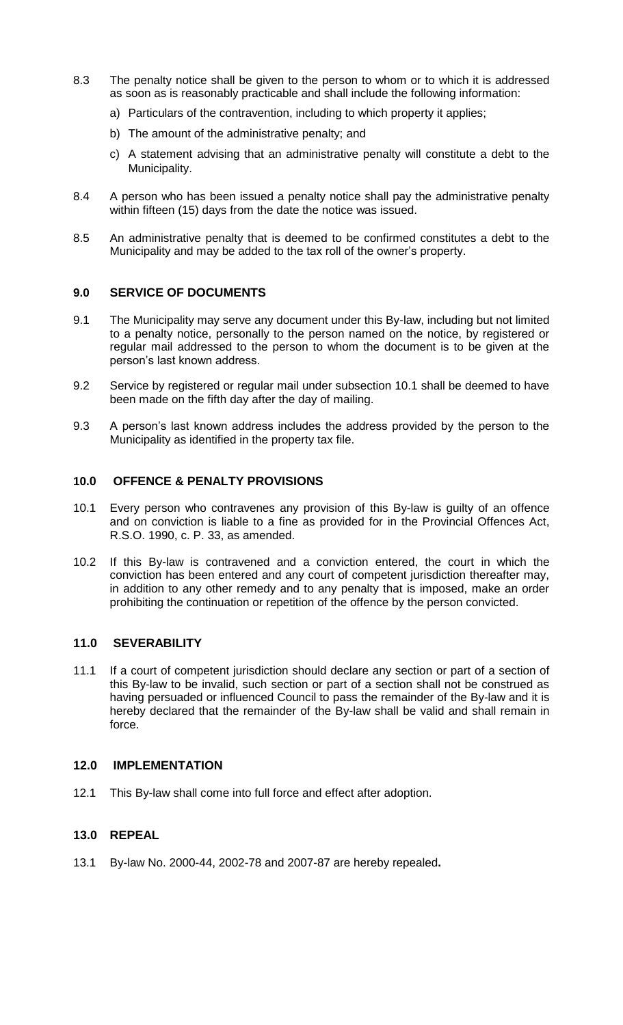- 8.3 The penalty notice shall be given to the person to whom or to which it is addressed as soon as is reasonably practicable and shall include the following information:
	- a) Particulars of the contravention, including to which property it applies;
	- b) The amount of the administrative penalty; and
	- c) A statement advising that an administrative penalty will constitute a debt to the Municipality.
- 8.4 A person who has been issued a penalty notice shall pay the administrative penalty within fifteen (15) days from the date the notice was issued.
- 8.5 An administrative penalty that is deemed to be confirmed constitutes a debt to the Municipality and may be added to the tax roll of the owner's property.

#### **9.0 SERVICE OF DOCUMENTS**

- 9.1 The Municipality may serve any document under this By-law, including but not limited to a penalty notice, personally to the person named on the notice, by registered or regular mail addressed to the person to whom the document is to be given at the person's last known address.
- 9.2 Service by registered or regular mail under subsection 10.1 shall be deemed to have been made on the fifth day after the day of mailing.
- 9.3 A person's last known address includes the address provided by the person to the Municipality as identified in the property tax file.

#### **10.0 OFFENCE & PENALTY PROVISIONS**

- 10.1 Every person who contravenes any provision of this By-law is guilty of an offence and on conviction is liable to a fine as provided for in the Provincial Offences Act, R.S.O. 1990, c. P. 33, as amended.
- 10.2 If this By-law is contravened and a conviction entered, the court in which the conviction has been entered and any court of competent jurisdiction thereafter may, in addition to any other remedy and to any penalty that is imposed, make an order prohibiting the continuation or repetition of the offence by the person convicted.

#### **11.0 SEVERABILITY**

11.1 If a court of competent jurisdiction should declare any section or part of a section of this By-law to be invalid, such section or part of a section shall not be construed as having persuaded or influenced Council to pass the remainder of the By-law and it is hereby declared that the remainder of the By-law shall be valid and shall remain in force.

#### **12.0 IMPLEMENTATION**

12.1 This By-law shall come into full force and effect after adoption.

#### **13.0 REPEAL**

13.1 By-law No. 2000-44, 2002-78 and 2007-87 are hereby repealed**.**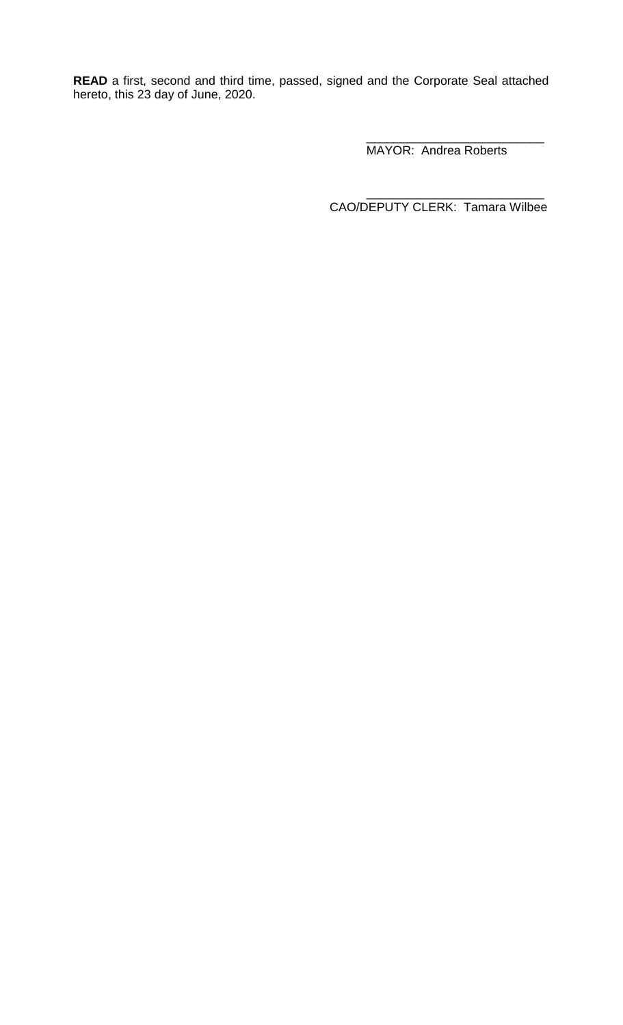**READ** a first, second and third time, passed, signed and the Corporate Seal attached hereto, this 23 day of June, 2020.

> \_\_\_\_\_\_\_\_\_\_\_\_\_\_\_\_\_\_\_\_\_\_\_\_\_\_ MAYOR: Andrea Roberts

\_\_\_\_\_\_\_\_\_\_\_\_\_\_\_\_\_\_\_\_\_\_\_\_\_\_ CAO/DEPUTY CLERK: Tamara Wilbee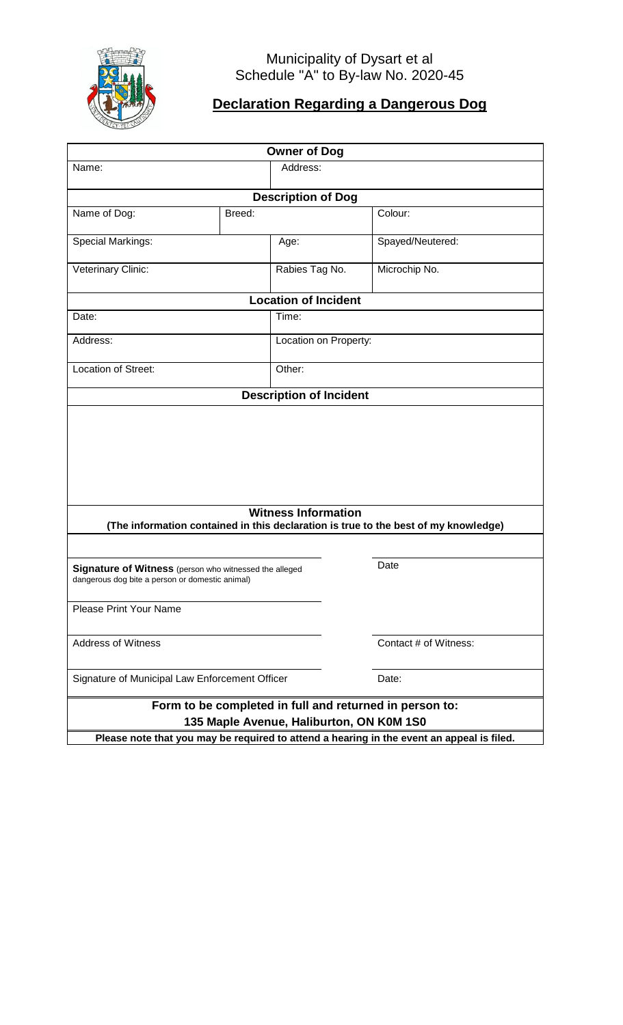

### Municipality of Dysart et al Schedule "A" to By-law No. 2020-45

# **Declaration Regarding a Dangerous Dog**

| <b>Owner of Dog</b>                                                                                       |                            |                           |                                                                                     |  |  |  |
|-----------------------------------------------------------------------------------------------------------|----------------------------|---------------------------|-------------------------------------------------------------------------------------|--|--|--|
| Name:                                                                                                     |                            | Address:                  |                                                                                     |  |  |  |
|                                                                                                           |                            | <b>Description of Dog</b> |                                                                                     |  |  |  |
| Name of Dog:                                                                                              | Breed:                     | Colour:                   |                                                                                     |  |  |  |
|                                                                                                           |                            |                           |                                                                                     |  |  |  |
| Special Markings:                                                                                         | Age:                       |                           | Spayed/Neutered:                                                                    |  |  |  |
| Veterinary Clinic:                                                                                        |                            | Rabies Tag No.            | Microchip No.                                                                       |  |  |  |
| <b>Location of Incident</b>                                                                               |                            |                           |                                                                                     |  |  |  |
| Date:                                                                                                     | Time:                      |                           |                                                                                     |  |  |  |
| Address:                                                                                                  |                            | Location on Property:     |                                                                                     |  |  |  |
| Location of Street:                                                                                       |                            | Other:                    |                                                                                     |  |  |  |
| <b>Description of Incident</b>                                                                            |                            |                           |                                                                                     |  |  |  |
|                                                                                                           | <b>Witness Information</b> |                           |                                                                                     |  |  |  |
|                                                                                                           |                            |                           | (The information contained in this declaration is true to the best of my knowledge) |  |  |  |
| Signature of Witness (person who witnessed the alleged<br>dangerous dog bite a person or domestic animal) |                            |                           | Date                                                                                |  |  |  |
| <b>Please Print Your Name</b>                                                                             |                            |                           |                                                                                     |  |  |  |
| <b>Address of Witness</b>                                                                                 |                            |                           | Contact # of Witness:                                                               |  |  |  |
| Signature of Municipal Law Enforcement Officer                                                            |                            |                           | Date:                                                                               |  |  |  |
| Form to be completed in full and returned in person to:<br>135 Maple Avenue, Haliburton, ON K0M 1S0       |                            |                           |                                                                                     |  |  |  |
| Please note that you may be required to attend a hearing in the event an appeal is filed.                 |                            |                           |                                                                                     |  |  |  |